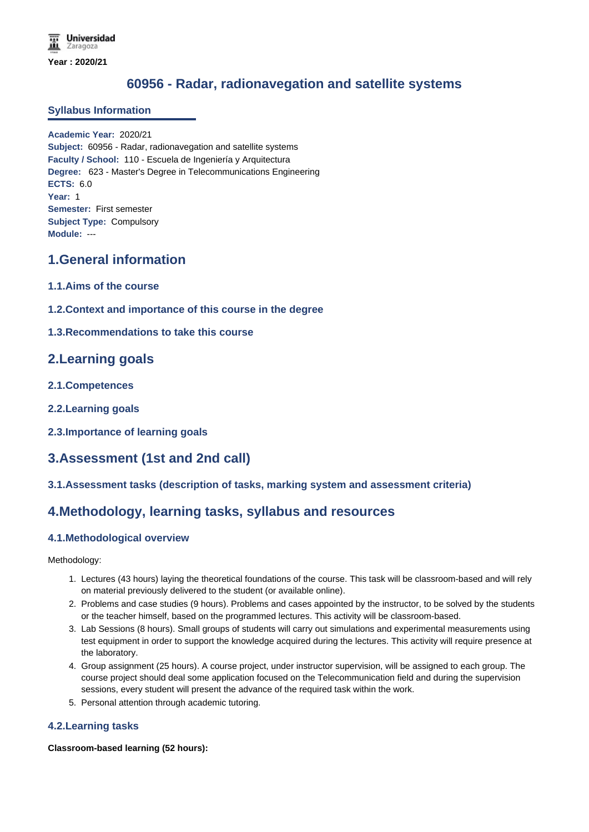# **60956 - Radar, radionavegation and satellite systems**

#### **Syllabus Information**

**Academic Year:** 2020/21 **Subject:** 60956 - Radar, radionavegation and satellite systems **Faculty / School:** 110 - Escuela de Ingeniería y Arquitectura **Degree:** 623 - Master's Degree in Telecommunications Engineering **ECTS:** 6.0 **Year:** 1 **Semester:** First semester **Subject Type:** Compulsory **Module:** ---

## **1.General information**

- **1.1.Aims of the course**
- **1.2.Context and importance of this course in the degree**
- **1.3.Recommendations to take this course**

### **2.Learning goals**

- **2.1.Competences**
- **2.2.Learning goals**
- **2.3.Importance of learning goals**

# **3.Assessment (1st and 2nd call)**

**3.1.Assessment tasks (description of tasks, marking system and assessment criteria)**

### **4.Methodology, learning tasks, syllabus and resources**

### **4.1.Methodological overview**

Methodology:

- 1. Lectures (43 hours) laying the theoretical foundations of the course. This task will be classroom-based and will rely on material previously delivered to the student (or available online).
- 2. Problems and case studies (9 hours). Problems and cases appointed by the instructor, to be solved by the students or the teacher himself, based on the programmed lectures. This activity will be classroom-based.
- 3. Lab Sessions (8 hours). Small groups of students will carry out simulations and experimental measurements using test equipment in order to support the knowledge acquired during the lectures. This activity will require presence at the laboratory.
- 4. Group assignment (25 hours). A course project, under instructor supervision, will be assigned to each group. The course project should deal some application focused on the Telecommunication field and during the supervision sessions, every student will present the advance of the required task within the work.
- 5. Personal attention through academic tutoring.

#### **4.2.Learning tasks**

**Classroom-based learning (52 hours):**